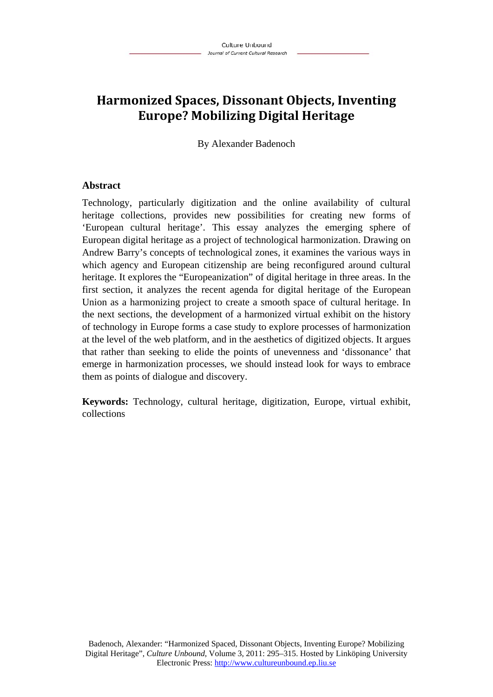# **Harmonized Spaces, Dissonant Objects, Inventing Europe? Mobilizing Digital Heritage**

By Alexander Badenoch

### **Abstract**

Technology, particularly digitization and the online availability of cultural heritage collections, provides new possibilities for creating new forms of 'European cultural heritage'. This essay analyzes the emerging sphere of European digital heritage as a project of technological harmonization. Drawing on Andrew Barry's concepts of technological zones, it examines the various ways in which agency and European citizenship are being reconfigured around cultural heritage. It explores the "Europeanization" of digital heritage in three areas. In the first section, it analyzes the recent agenda for digital heritage of the European Union as a harmonizing project to create a smooth space of cultural heritage. In the next sections, the development of a harmonized virtual exhibit on the history of technology in Europe forms a case study to explore processes of harmonization at the level of the web platform, and in the aesthetics of digitized objects. It argues that rather than seeking to elide the points of unevenness and 'dissonance' that emerge in harmonization processes, we should instead look for ways to embrace them as points of dialogue and discovery.

**Keywords:** Technology, cultural heritage, digitization, Europe, virtual exhibit, collections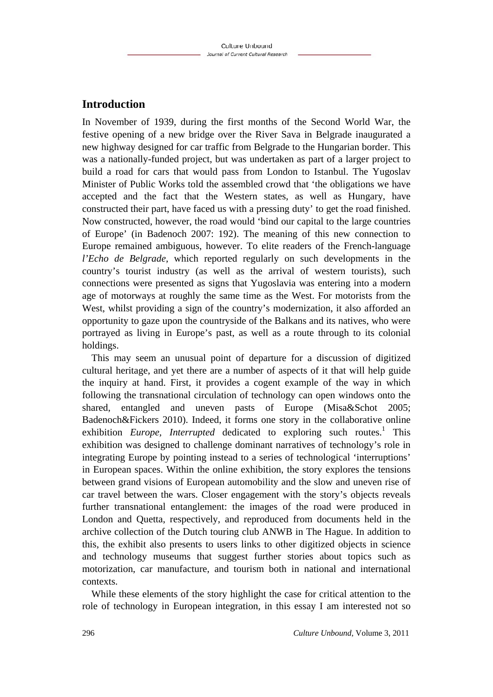# **Introduction**

In November of 1939, during the first months of the Second World War, the festive opening of a new bridge over the River Sava in Belgrade inaugurated a new highway designed for car traffic from Belgrade to the Hungarian border. This was a nationally-funded project, but was undertaken as part of a larger project to build a road for cars that would pass from London to Istanbul. The Yugoslav Minister of Public Works told the assembled crowd that 'the obligations we have accepted and the fact that the Western states, as well as Hungary, have constructed their part, have faced us with a pressing duty' to get the road finished. Now constructed, however, the road would 'bind our capital to the large countries of Europe' (in Badenoch 2007: 192). The meaning of this new connection to Europe remained ambiguous, however. To elite readers of the French-language *l'Echo de Belgrade*, which reported regularly on such developments in the country's tourist industry (as well as the arrival of western tourists), such connections were presented as signs that Yugoslavia was entering into a modern age of motorways at roughly the same time as the West. For motorists from the West, whilst providing a sign of the country's modernization, it also afforded an opportunity to gaze upon the countryside of the Balkans and its natives, who were portrayed as living in Europe's past, as well as a route through to its colonial holdings.

This may seem an unusual point of departure for a discussion of digitized cultural heritage, and yet there are a number of aspects of it that will help guide the inquiry at hand. First, it provides a cogent example of the way in which following the transnational circulation of technology can open windows onto the shared, entangled and uneven pasts of Europe (Misa&Schot 2005; Badenoch&Fickers 2010). Indeed, it forms one story in the collaborative online exhibition *Europe, Interrupted* dedicated to exploring such routes.<sup>1</sup> This exhibition was designed to challenge dominant narratives of technology's role in integrating Europe by pointing instead to a series of technological 'interruptions' in European spaces. Within the online exhibition, the story explores the tensions between grand visions of European automobility and the slow and uneven rise of car travel between the wars. Closer engagement with the story's objects reveals further transnational entanglement: the images of the road were produced in London and Quetta, respectively, and reproduced from documents held in the archive collection of the Dutch touring club ANWB in The Hague. In addition to this, the exhibit also presents to users links to other digitized objects in science and technology museums that suggest further stories about topics such as motorization, car manufacture, and tourism both in national and international contexts.

While these elements of the story highlight the case for critical attention to the role of technology in European integration, in this essay I am interested not so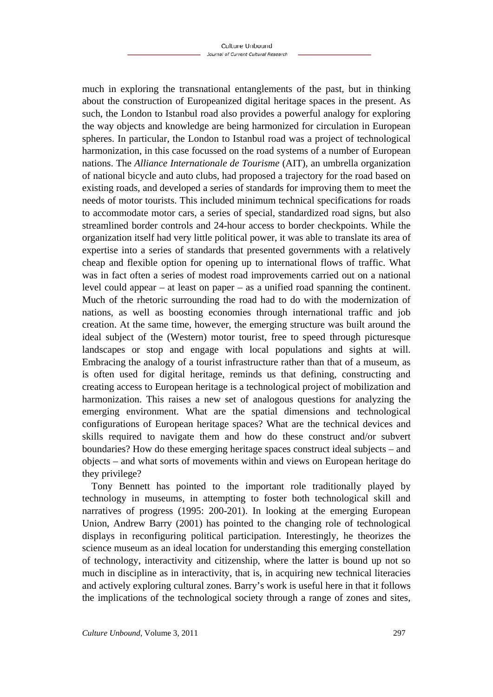much in exploring the transnational entanglements of the past, but in thinking about the construction of Europeanized digital heritage spaces in the present. As such, the London to Istanbul road also provides a powerful analogy for exploring the way objects and knowledge are being harmonized for circulation in European spheres. In particular, the London to Istanbul road was a project of technological harmonization, in this case focussed on the road systems of a number of European nations. The *Alliance Internationale de Tourisme* (AIT), an umbrella organization of national bicycle and auto clubs, had proposed a trajectory for the road based on existing roads, and developed a series of standards for improving them to meet the needs of motor tourists. This included minimum technical specifications for roads to accommodate motor cars, a series of special, standardized road signs, but also streamlined border controls and 24-hour access to border checkpoints. While the organization itself had very little political power, it was able to translate its area of expertise into a series of standards that presented governments with a relatively cheap and flexible option for opening up to international flows of traffic. What was in fact often a series of modest road improvements carried out on a national level could appear – at least on paper – as a unified road spanning the continent. Much of the rhetoric surrounding the road had to do with the modernization of nations, as well as boosting economies through international traffic and job creation. At the same time, however, the emerging structure was built around the ideal subject of the (Western) motor tourist, free to speed through picturesque landscapes or stop and engage with local populations and sights at will. Embracing the analogy of a tourist infrastructure rather than that of a museum, as is often used for digital heritage, reminds us that defining, constructing and creating access to European heritage is a technological project of mobilization and harmonization. This raises a new set of analogous questions for analyzing the emerging environment. What are the spatial dimensions and technological configurations of European heritage spaces? What are the technical devices and skills required to navigate them and how do these construct and/or subvert boundaries? How do these emerging heritage spaces construct ideal subjects – and objects – and what sorts of movements within and views on European heritage do they privilege?

Tony Bennett has pointed to the important role traditionally played by technology in museums, in attempting to foster both technological skill and narratives of progress (1995: 200-201). In looking at the emerging European Union, Andrew Barry (2001) has pointed to the changing role of technological displays in reconfiguring political participation. Interestingly, he theorizes the science museum as an ideal location for understanding this emerging constellation of technology, interactivity and citizenship, where the latter is bound up not so much in discipline as in interactivity, that is, in acquiring new technical literacies and actively exploring cultural zones. Barry's work is useful here in that it follows the implications of the technological society through a range of zones and sites,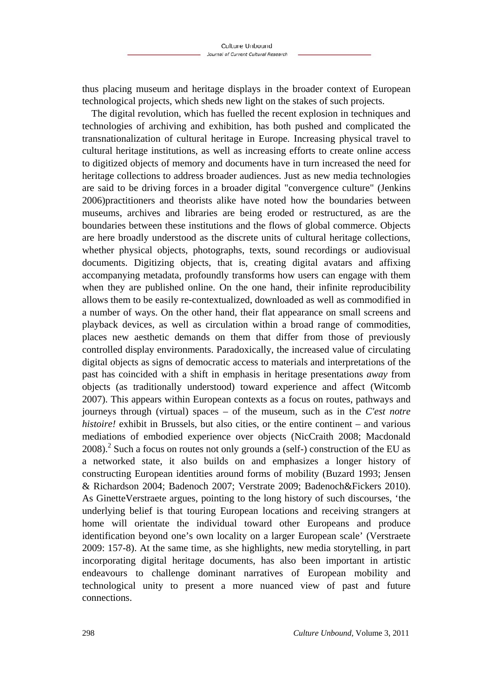thus placing museum and heritage displays in the broader context of European technological projects, which sheds new light on the stakes of such projects.

The digital revolution, which has fuelled the recent explosion in techniques and technologies of archiving and exhibition, has both pushed and complicated the transnationalization of cultural heritage in Europe. Increasing physical travel to cultural heritage institutions, as well as increasing efforts to create online access to digitized objects of memory and documents have in turn increased the need for heritage collections to address broader audiences. Just as new media technologies are said to be driving forces in a broader digital "convergence culture" (Jenkins 2006)practitioners and theorists alike have noted how the boundaries between museums, archives and libraries are being eroded or restructured, as are the boundaries between these institutions and the flows of global commerce. Objects are here broadly understood as the discrete units of cultural heritage collections, whether physical objects, photographs, texts, sound recordings or audiovisual documents. Digitizing objects, that is, creating digital avatars and affixing accompanying metadata, profoundly transforms how users can engage with them when they are published online. On the one hand, their infinite reproducibility allows them to be easily re-contextualized, downloaded as well as commodified in a number of ways. On the other hand, their flat appearance on small screens and playback devices, as well as circulation within a broad range of commodities, places new aesthetic demands on them that differ from those of previously controlled display environments. Paradoxically, the increased value of circulating digital objects as signs of democratic access to materials and interpretations of the past has coincided with a shift in emphasis in heritage presentations *away* from objects (as traditionally understood) toward experience and affect (Witcomb 2007). This appears within European contexts as a focus on routes, pathways and journeys through (virtual) spaces – of the museum, such as in the *C'est notre histoire!* exhibit in Brussels, but also cities, or the entire continent – and various mediations of embodied experience over objects (NicCraith 2008; Macdonald  $2008$ ).<sup>2</sup> Such a focus on routes not only grounds a (self-) construction of the EU as a networked state, it also builds on and emphasizes a longer history of constructing European identities around forms of mobility (Buzard 1993; Jensen & Richardson 2004; Badenoch 2007; Verstrate 2009; Badenoch&Fickers 2010). As GinetteVerstraete argues, pointing to the long history of such discourses, 'the underlying belief is that touring European locations and receiving strangers at home will orientate the individual toward other Europeans and produce identification beyond one's own locality on a larger European scale' (Verstraete 2009: 157-8). At the same time, as she highlights, new media storytelling, in part incorporating digital heritage documents, has also been important in artistic endeavours to challenge dominant narratives of European mobility and technological unity to present a more nuanced view of past and future connections.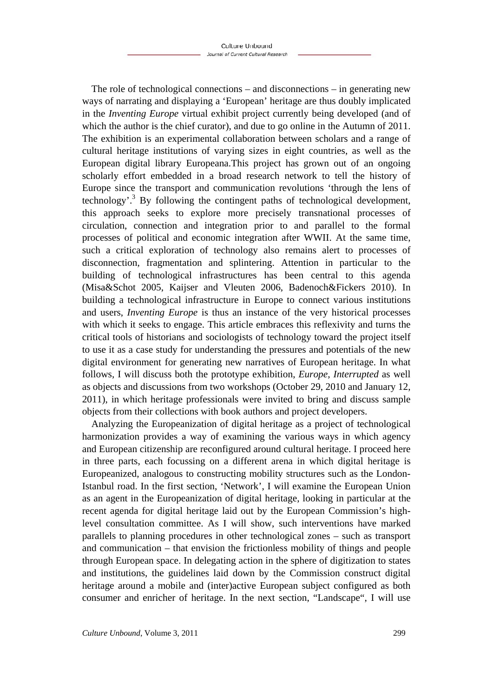The role of technological connections – and disconnections – in generating new ways of narrating and displaying a 'European' heritage are thus doubly implicated in the *Inventing Europe* virtual exhibit project currently being developed (and of which the author is the chief curator), and due to go online in the Autumn of 2011. The exhibition is an experimental collaboration between scholars and a range of cultural heritage institutions of varying sizes in eight countries, as well as the European digital library Europeana.This project has grown out of an ongoing scholarly effort embedded in a broad research network to tell the history of Europe since the transport and communication revolutions 'through the lens of technology'.<sup>3</sup> By following the contingent paths of technological development, this approach seeks to explore more precisely transnational processes of circulation, connection and integration prior to and parallel to the formal processes of political and economic integration after WWII. At the same time, such a critical exploration of technology also remains alert to processes of disconnection, fragmentation and splintering. Attention in particular to the building of technological infrastructures has been central to this agenda (Misa&Schot 2005, Kaijser and Vleuten 2006, Badenoch&Fickers 2010). In building a technological infrastructure in Europe to connect various institutions and users, *Inventing Europe* is thus an instance of the very historical processes with which it seeks to engage. This article embraces this reflexivity and turns the critical tools of historians and sociologists of technology toward the project itself to use it as a case study for understanding the pressures and potentials of the new digital environment for generating new narratives of European heritage. In what follows, I will discuss both the prototype exhibition, *Europe, Interrupted* as well as objects and discussions from two workshops (October 29, 2010 and January 12, 2011), in which heritage professionals were invited to bring and discuss sample objects from their collections with book authors and project developers.

Analyzing the Europeanization of digital heritage as a project of technological harmonization provides a way of examining the various ways in which agency and European citizenship are reconfigured around cultural heritage. I proceed here in three parts, each focussing on a different arena in which digital heritage is Europeanized, analogous to constructing mobility structures such as the London-Istanbul road. In the first section, 'Network', I will examine the European Union as an agent in the Europeanization of digital heritage, looking in particular at the recent agenda for digital heritage laid out by the European Commission's highlevel consultation committee. As I will show, such interventions have marked parallels to planning procedures in other technological zones – such as transport and communication – that envision the frictionless mobility of things and people through European space. In delegating action in the sphere of digitization to states and institutions, the guidelines laid down by the Commission construct digital heritage around a mobile and (inter)active European subject configured as both consumer and enricher of heritage. In the next section, "Landscape", I will use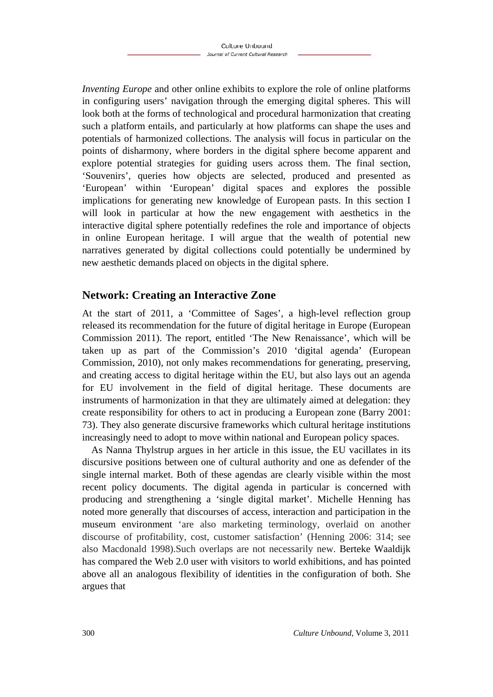*Inventing Europe* and other online exhibits to explore the role of online platforms in configuring users' navigation through the emerging digital spheres. This will look both at the forms of technological and procedural harmonization that creating such a platform entails, and particularly at how platforms can shape the uses and potentials of harmonized collections. The analysis will focus in particular on the points of disharmony, where borders in the digital sphere become apparent and explore potential strategies for guiding users across them. The final section, 'Souvenirs', queries how objects are selected, produced and presented as 'European' within 'European' digital spaces and explores the possible implications for generating new knowledge of European pasts. In this section I will look in particular at how the new engagement with aesthetics in the interactive digital sphere potentially redefines the role and importance of objects in online European heritage. I will argue that the wealth of potential new narratives generated by digital collections could potentially be undermined by new aesthetic demands placed on objects in the digital sphere.

## **Network: Creating an Interactive Zone**

At the start of 2011, a 'Committee of Sages', a high-level reflection group released its recommendation for the future of digital heritage in Europe (European Commission 2011). The report, entitled 'The New Renaissance', which will be taken up as part of the Commission's 2010 'digital agenda' (European Commission, 2010), not only makes recommendations for generating, preserving, and creating access to digital heritage within the EU, but also lays out an agenda for EU involvement in the field of digital heritage. These documents are instruments of harmonization in that they are ultimately aimed at delegation: they create responsibility for others to act in producing a European zone (Barry 2001: 73). They also generate discursive frameworks which cultural heritage institutions increasingly need to adopt to move within national and European policy spaces.

As Nanna Thylstrup argues in her article in this issue, the EU vacillates in its discursive positions between one of cultural authority and one as defender of the single internal market. Both of these agendas are clearly visible within the most recent policy documents. The digital agenda in particular is concerned with producing and strengthening a 'single digital market'. Michelle Henning has noted more generally that discourses of access, interaction and participation in the museum environment 'are also marketing terminology, overlaid on another discourse of profitability, cost, customer satisfaction' (Henning 2006: 314; see also Macdonald 1998).Such overlaps are not necessarily new. Berteke Waaldijk has compared the Web 2.0 user with visitors to world exhibitions, and has pointed above all an analogous flexibility of identities in the configuration of both. She argues that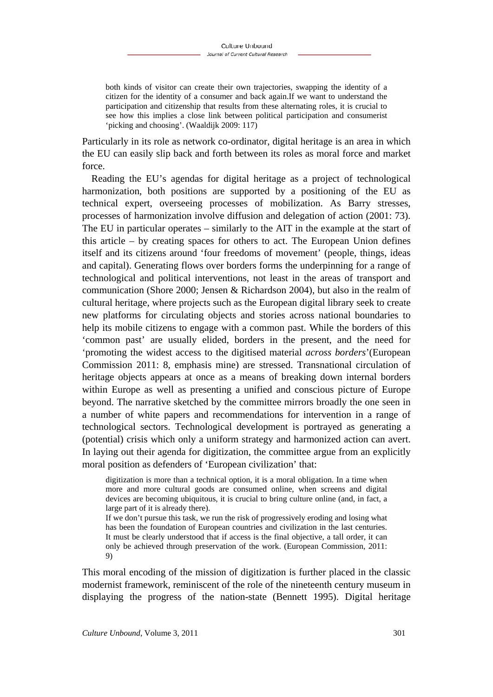both kinds of visitor can create their own trajectories, swapping the identity of a citizen for the identity of a consumer and back again.If we want to understand the participation and citizenship that results from these alternating roles, it is crucial to see how this implies a close link between political participation and consumerist 'picking and choosing'. (Waaldijk 2009: 117)

Particularly in its role as network co-ordinator, digital heritage is an area in which the EU can easily slip back and forth between its roles as moral force and market force.

Reading the EU's agendas for digital heritage as a project of technological harmonization, both positions are supported by a positioning of the EU as technical expert, overseeing processes of mobilization. As Barry stresses, processes of harmonization involve diffusion and delegation of action (2001: 73). The EU in particular operates – similarly to the AIT in the example at the start of this article – by creating spaces for others to act. The European Union defines itself and its citizens around 'four freedoms of movement' (people, things, ideas and capital). Generating flows over borders forms the underpinning for a range of technological and political interventions, not least in the areas of transport and communication (Shore 2000; Jensen & Richardson 2004), but also in the realm of cultural heritage, where projects such as the European digital library seek to create new platforms for circulating objects and stories across national boundaries to help its mobile citizens to engage with a common past. While the borders of this 'common past' are usually elided, borders in the present, and the need for 'promoting the widest access to the digitised material *across borders*'(European Commission 2011: 8, emphasis mine) are stressed. Transnational circulation of heritage objects appears at once as a means of breaking down internal borders within Europe as well as presenting a unified and conscious picture of Europe beyond. The narrative sketched by the committee mirrors broadly the one seen in a number of white papers and recommendations for intervention in a range of technological sectors. Technological development is portrayed as generating a (potential) crisis which only a uniform strategy and harmonized action can avert. In laying out their agenda for digitization, the committee argue from an explicitly moral position as defenders of 'European civilization' that:

digitization is more than a technical option, it is a moral obligation. In a time when more and more cultural goods are consumed online, when screens and digital devices are becoming ubiquitous, it is crucial to bring culture online (and, in fact, a large part of it is already there).

If we don't pursue this task, we run the risk of progressively eroding and losing what has been the foundation of European countries and civilization in the last centuries. It must be clearly understood that if access is the final objective, a tall order, it can only be achieved through preservation of the work. (European Commission, 2011: 9)

This moral encoding of the mission of digitization is further placed in the classic modernist framework, reminiscent of the role of the nineteenth century museum in displaying the progress of the nation-state (Bennett 1995). Digital heritage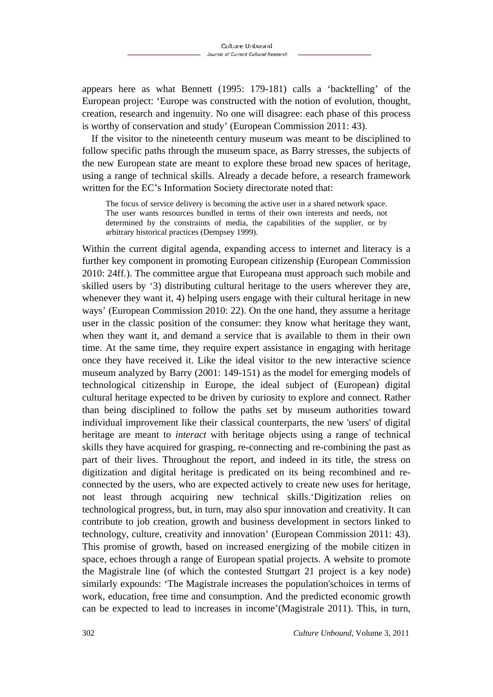appears here as what Bennett (1995: 179-181) calls a 'backtelling' of the European project: 'Europe was constructed with the notion of evolution, thought, creation, research and ingenuity. No one will disagree: each phase of this process is worthy of conservation and study' (European Commission 2011: 43).

If the visitor to the nineteenth century museum was meant to be disciplined to follow specific paths through the museum space, as Barry stresses, the subjects of the new European state are meant to explore these broad new spaces of heritage, using a range of technical skills. Already a decade before, a research framework written for the EC's Information Society directorate noted that:

The focus of service delivery is becoming the active user in a shared network space. The user wants resources bundled in terms of their own interests and needs, not determined by the constraints of media, the capabilities of the supplier, or by arbitrary historical practices (Dempsey 1999).

Within the current digital agenda, expanding access to internet and literacy is a further key component in promoting European citizenship (European Commission 2010: 24ff.). The committee argue that Europeana must approach such mobile and skilled users by '3) distributing cultural heritage to the users wherever they are, whenever they want it, 4) helping users engage with their cultural heritage in new ways' (European Commission 2010: 22). On the one hand, they assume a heritage user in the classic position of the consumer: they know what heritage they want, when they want it, and demand a service that is available to them in their own time. At the same time, they require expert assistance in engaging with heritage once they have received it. Like the ideal visitor to the new interactive science museum analyzed by Barry (2001: 149-151) as the model for emerging models of technological citizenship in Europe, the ideal subject of (European) digital cultural heritage expected to be driven by curiosity to explore and connect. Rather than being disciplined to follow the paths set by museum authorities toward individual improvement like their classical counterparts, the new 'users' of digital heritage are meant to *interact* with heritage objects using a range of technical skills they have acquired for grasping, re-connecting and re-combining the past as part of their lives. Throughout the report, and indeed in its title, the stress on digitization and digital heritage is predicated on its being recombined and reconnected by the users, who are expected actively to create new uses for heritage, not least through acquiring new technical skills.'Digitization relies on technological progress, but, in turn, may also spur innovation and creativity. It can contribute to job creation, growth and business development in sectors linked to technology, culture, creativity and innovation' (European Commission 2011: 43). This promise of growth, based on increased energizing of the mobile citizen in space, echoes through a range of European spatial projects. A website to promote the Magistrale line (of which the contested Stuttgart 21 project is a key node) similarly expounds: 'The Magistrale increases the population'schoices in terms of work, education, free time and consumption. And the predicted economic growth can be expected to lead to increases in income'(Magistrale 2011). This, in turn,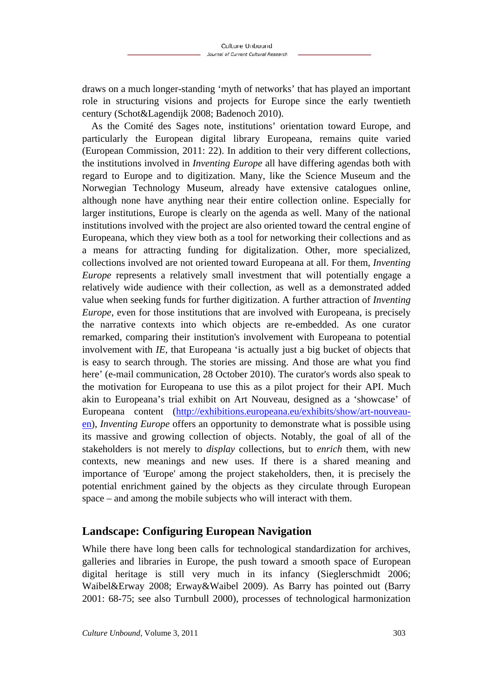draws on a much longer-standing 'myth of networks' that has played an important role in structuring visions and projects for Europe since the early twentieth century (Schot&Lagendijk 2008; Badenoch 2010).

As the Comité des Sages note, institutions' orientation toward Europe, and particularly the European digital library Europeana, remains quite varied (European Commission, 2011: 22). In addition to their very different collections, the institutions involved in *Inventing Europe* all have differing agendas both with regard to Europe and to digitization. Many, like the Science Museum and the Norwegian Technology Museum, already have extensive catalogues online, although none have anything near their entire collection online. Especially for larger institutions, Europe is clearly on the agenda as well. Many of the national institutions involved with the project are also oriented toward the central engine of Europeana, which they view both as a tool for networking their collections and as a means for attracting funding for digitalization. Other, more specialized, collections involved are not oriented toward Europeana at all. For them, *Inventing Europe* represents a relatively small investment that will potentially engage a relatively wide audience with their collection, as well as a demonstrated added value when seeking funds for further digitization. A further attraction of *Inventing Europe*, even for those institutions that are involved with Europeana, is precisely the narrative contexts into which objects are re-embedded. As one curator remarked, comparing their institution's involvement with Europeana to potential involvement with *IE,* that Europeana 'is actually just a big bucket of objects that is easy to search through. The stories are missing. And those are what you find here' (e-mail communication, 28 October 2010). The curator's words also speak to the motivation for Europeana to use this as a pilot project for their API. Much akin to Europeana's trial exhibit on Art Nouveau, designed as a 'showcase' of Europeana content (http://exhibitions.europeana.eu/exhibits/show/art-nouveauen), *Inventing Europe* offers an opportunity to demonstrate what is possible using its massive and growing collection of objects. Notably, the goal of all of the stakeholders is not merely to *display* collections, but to *enrich* them, with new contexts, new meanings and new uses. If there is a shared meaning and importance of 'Europe' among the project stakeholders, then, it is precisely the potential enrichment gained by the objects as they circulate through European space – and among the mobile subjects who will interact with them.

## **Landscape: Configuring European Navigation**

While there have long been calls for technological standardization for archives, galleries and libraries in Europe, the push toward a smooth space of European digital heritage is still very much in its infancy (Sieglerschmidt 2006; Waibel&Erway 2008; Erway&Waibel 2009). As Barry has pointed out (Barry 2001: 68-75; see also Turnbull 2000), processes of technological harmonization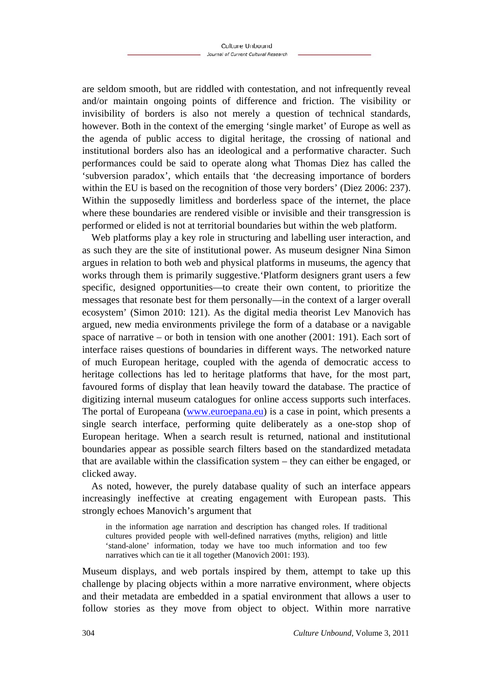are seldom smooth, but are riddled with contestation, and not infrequently reveal and/or maintain ongoing points of difference and friction. The visibility or invisibility of borders is also not merely a question of technical standards, however. Both in the context of the emerging 'single market' of Europe as well as the agenda of public access to digital heritage, the crossing of national and institutional borders also has an ideological and a performative character. Such performances could be said to operate along what Thomas Diez has called the 'subversion paradox', which entails that 'the decreasing importance of borders within the EU is based on the recognition of those very borders' (Diez 2006: 237). Within the supposedly limitless and borderless space of the internet, the place where these boundaries are rendered visible or invisible and their transgression is performed or elided is not at territorial boundaries but within the web platform.

Web platforms play a key role in structuring and labelling user interaction, and as such they are the site of institutional power. As museum designer Nina Simon argues in relation to both web and physical platforms in museums, the agency that works through them is primarily suggestive.'Platform designers grant users a few specific, designed opportunities—to create their own content, to prioritize the messages that resonate best for them personally—in the context of a larger overall ecosystem' (Simon 2010: 121). As the digital media theorist Lev Manovich has argued, new media environments privilege the form of a database or a navigable space of narrative – or both in tension with one another (2001: 191). Each sort of interface raises questions of boundaries in different ways. The networked nature of much European heritage, coupled with the agenda of democratic access to heritage collections has led to heritage platforms that have, for the most part, favoured forms of display that lean heavily toward the database. The practice of digitizing internal museum catalogues for online access supports such interfaces. The portal of Europeana (www.euroepana.eu) is a case in point, which presents a single search interface, performing quite deliberately as a one-stop shop of European heritage. When a search result is returned, national and institutional boundaries appear as possible search filters based on the standardized metadata that are available within the classification system – they can either be engaged, or clicked away.

As noted, however, the purely database quality of such an interface appears increasingly ineffective at creating engagement with European pasts. This strongly echoes Manovich's argument that

in the information age narration and description has changed roles. If traditional cultures provided people with well-defined narratives (myths, religion) and little 'stand-alone' information, today we have too much information and too few narratives which can tie it all together (Manovich 2001: 193).

Museum displays, and web portals inspired by them, attempt to take up this challenge by placing objects within a more narrative environment, where objects and their metadata are embedded in a spatial environment that allows a user to follow stories as they move from object to object. Within more narrative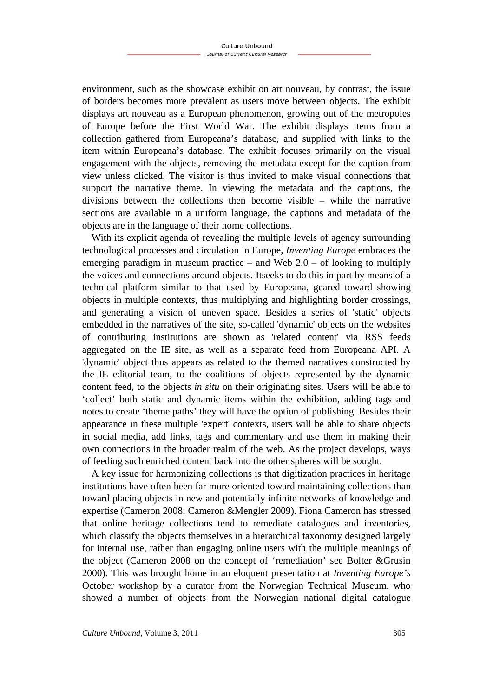environment, such as the showcase exhibit on art nouveau, by contrast, the issue of borders becomes more prevalent as users move between objects. The exhibit displays art nouveau as a European phenomenon, growing out of the metropoles of Europe before the First World War. The exhibit displays items from a collection gathered from Europeana's database, and supplied with links to the item within Europeana's database. The exhibit focuses primarily on the visual engagement with the objects, removing the metadata except for the caption from view unless clicked. The visitor is thus invited to make visual connections that support the narrative theme. In viewing the metadata and the captions, the divisions between the collections then become visible – while the narrative sections are available in a uniform language, the captions and metadata of the objects are in the language of their home collections.

With its explicit agenda of revealing the multiple levels of agency surrounding technological processes and circulation in Europe, *Inventing Europe* embraces the emerging paradigm in museum practice – and Web  $2.0$  – of looking to multiply the voices and connections around objects. Itseeks to do this in part by means of a technical platform similar to that used by Europeana, geared toward showing objects in multiple contexts, thus multiplying and highlighting border crossings, and generating a vision of uneven space. Besides a series of 'static' objects embedded in the narratives of the site, so-called 'dynamic' objects on the websites of contributing institutions are shown as 'related content' via RSS feeds aggregated on the IE site, as well as a separate feed from Europeana API. A 'dynamic' object thus appears as related to the themed narratives constructed by the IE editorial team, to the coalitions of objects represented by the dynamic content feed, to the objects *in situ* on their originating sites. Users will be able to 'collect' both static and dynamic items within the exhibition, adding tags and notes to create 'theme paths' they will have the option of publishing. Besides their appearance in these multiple 'expert' contexts, users will be able to share objects in social media, add links, tags and commentary and use them in making their own connections in the broader realm of the web. As the project develops, ways of feeding such enriched content back into the other spheres will be sought.

A key issue for harmonizing collections is that digitization practices in heritage institutions have often been far more oriented toward maintaining collections than toward placing objects in new and potentially infinite networks of knowledge and expertise (Cameron 2008; Cameron &Mengler 2009). Fiona Cameron has stressed that online heritage collections tend to remediate catalogues and inventories, which classify the objects themselves in a hierarchical taxonomy designed largely for internal use, rather than engaging online users with the multiple meanings of the object (Cameron 2008 on the concept of 'remediation' see Bolter &Grusin 2000). This was brought home in an eloquent presentation at *Inventing Europe's* October workshop by a curator from the Norwegian Technical Museum, who showed a number of objects from the Norwegian national digital catalogue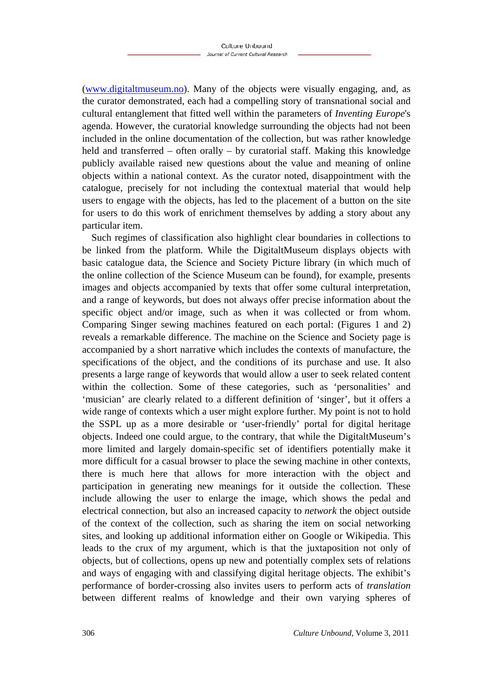(www.digitaltmuseum.no). Many of the objects were visually engaging, and, as the curator demonstrated, each had a compelling story of transnational social and cultural entanglement that fitted well within the parameters of *Inventing Europe*'s agenda. However, the curatorial knowledge surrounding the objects had not been included in the online documentation of the collection, but was rather knowledge held and transferred – often orally – by curatorial staff. Making this knowledge publicly available raised new questions about the value and meaning of online objects within a national context. As the curator noted, disappointment with the catalogue, precisely for not including the contextual material that would help users to engage with the objects, has led to the placement of a button on the site for users to do this work of enrichment themselves by adding a story about any particular item.

Such regimes of classification also highlight clear boundaries in collections to be linked from the platform. While the DigitaltMuseum displays objects with basic catalogue data, the Science and Society Picture library (in which much of the online collection of the Science Museum can be found), for example, presents images and objects accompanied by texts that offer some cultural interpretation, and a range of keywords, but does not always offer precise information about the specific object and/or image, such as when it was collected or from whom. Comparing Singer sewing machines featured on each portal: (Figures 1 and 2) reveals a remarkable difference. The machine on the Science and Society page is accompanied by a short narrative which includes the contexts of manufacture, the specifications of the object, and the conditions of its purchase and use. It also presents a large range of keywords that would allow a user to seek related content within the collection. Some of these categories, such as 'personalities' and 'musician' are clearly related to a different definition of 'singer', but it offers a wide range of contexts which a user might explore further. My point is not to hold the SSPL up as a more desirable or 'user-friendly' portal for digital heritage objects. Indeed one could argue, to the contrary, that while the DigitaltMuseum's more limited and largely domain-specific set of identifiers potentially make it more difficult for a casual browser to place the sewing machine in other contexts, there is much here that allows for more interaction with the object and participation in generating new meanings for it outside the collection. These include allowing the user to enlarge the image, which shows the pedal and electrical connection, but also an increased capacity to *network* the object outside of the context of the collection, such as sharing the item on social networking sites, and looking up additional information either on Google or Wikipedia. This leads to the crux of my argument, which is that the juxtaposition not only of objects, but of collections, opens up new and potentially complex sets of relations and ways of engaging with and classifying digital heritage objects. The exhibit's performance of border-crossing also invites users to perform acts of *translation* between different realms of knowledge and their own varying spheres of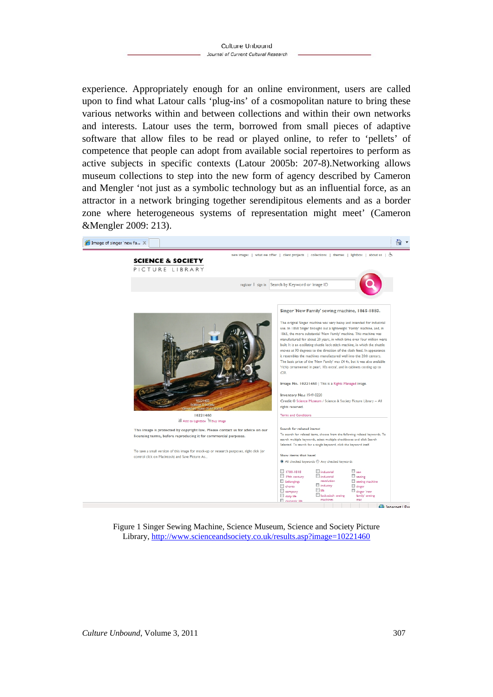experience. Appropriately enough for an online environment, users are called upon to find what Latour calls 'plug-ins' of a cosmopolitan nature to bring these various networks within and between collections and within their own networks and interests. Latour uses the term, borrowed from small pieces of adaptive software that allow files to be read or played online, to refer to 'pellets' of competence that people can adopt from available social repertoires to perform as active subjects in specific contexts (Latour 2005b: 207-8).Networking allows museum collections to step into the new form of agency described by Cameron and Mengler 'not just as a symbolic technology but as an influential force, as an attractor in a network bringing together serendipitous elements and as a border zone where heterogeneous systems of representation might meet' (Cameron &Mengler 2009: 213).



Figure 1 Singer Sewing Machine, Science Museum, Science and Society Picture Library, http://www.scienceandsociety.co.uk/results.asp?image=10221460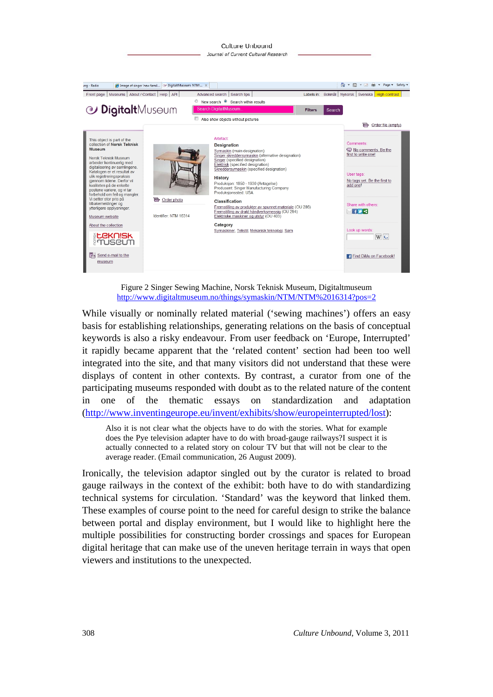

Figure 2 Singer Sewing Machine, Norsk Teknisk Museum, Digitaltmuseum http://www.digitaltmuseum.no/things/symaskin/NTM/NTM%2016314?pos=2

While visually or nominally related material ('sewing machines') offers an easy basis for establishing relationships, generating relations on the basis of conceptual keywords is also a risky endeavour. From user feedback on 'Europe, Interrupted' it rapidly became apparent that the 'related content' section had been too well integrated into the site, and that many visitors did not understand that these were displays of content in other contexts. By contrast, a curator from one of the participating museums responded with doubt as to the related nature of the content in one of the thematic essays on standardization and adaptation (http://www.inventingeurope.eu/invent/exhibits/show/europeinterrupted/lost):

Also it is not clear what the objects have to do with the stories. What for example does the Pye television adapter have to do with broad-gauge railways?I suspect it is actually connected to a related story on colour TV but that will not be clear to the average reader. (Email communication, 26 August 2009).

Ironically, the television adaptor singled out by the curator is related to broad gauge railways in the context of the exhibit: both have to do with standardizing technical systems for circulation. 'Standard' was the keyword that linked them. These examples of course point to the need for careful design to strike the balance between portal and display environment, but I would like to highlight here the multiple possibilities for constructing border crossings and spaces for European digital heritage that can make use of the uneven heritage terrain in ways that open viewers and institutions to the unexpected.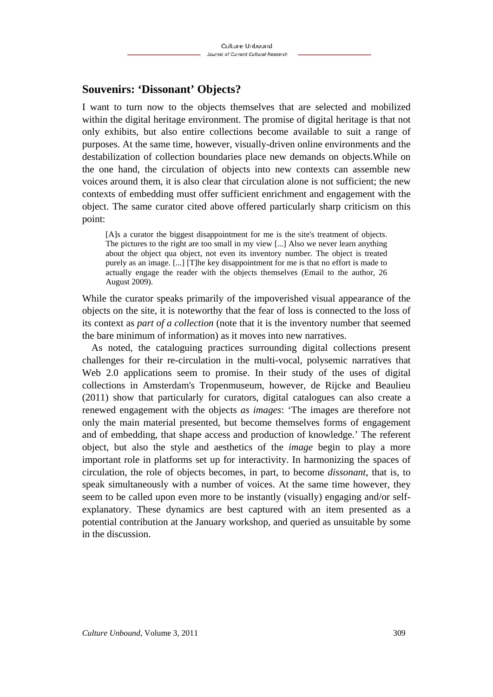### **Souvenirs: 'Dissonant' Objects?**

I want to turn now to the objects themselves that are selected and mobilized within the digital heritage environment. The promise of digital heritage is that not only exhibits, but also entire collections become available to suit a range of purposes. At the same time, however, visually-driven online environments and the destabilization of collection boundaries place new demands on objects.While on the one hand, the circulation of objects into new contexts can assemble new voices around them, it is also clear that circulation alone is not sufficient; the new contexts of embedding must offer sufficient enrichment and engagement with the object. The same curator cited above offered particularly sharp criticism on this point:

[A]s a curator the biggest disappointment for me is the site's treatment of objects. The pictures to the right are too small in my view [...] Also we never learn anything about the object qua object, not even its inventory number. The object is treated purely as an image. [...] [T]he key disappointment for me is that no effort is made to actually engage the reader with the objects themselves (Email to the author, 26 August 2009).

While the curator speaks primarily of the impoverished visual appearance of the objects on the site, it is noteworthy that the fear of loss is connected to the loss of its context as *part of a collection* (note that it is the inventory number that seemed the bare minimum of information) as it moves into new narratives.

As noted, the cataloguing practices surrounding digital collections present challenges for their re-circulation in the multi-vocal, polysemic narratives that Web 2.0 applications seem to promise. In their study of the uses of digital collections in Amsterdam's Tropenmuseum, however, de Rijcke and Beaulieu (2011) show that particularly for curators, digital catalogues can also create a renewed engagement with the objects *as images*: 'The images are therefore not only the main material presented, but become themselves forms of engagement and of embedding, that shape access and production of knowledge.' The referent object, but also the style and aesthetics of the *image* begin to play a more important role in platforms set up for interactivity. In harmonizing the spaces of circulation, the role of objects becomes, in part, to become *dissonant*, that is, to speak simultaneously with a number of voices. At the same time however, they seem to be called upon even more to be instantly (visually) engaging and/or selfexplanatory. These dynamics are best captured with an item presented as a potential contribution at the January workshop, and queried as unsuitable by some in the discussion.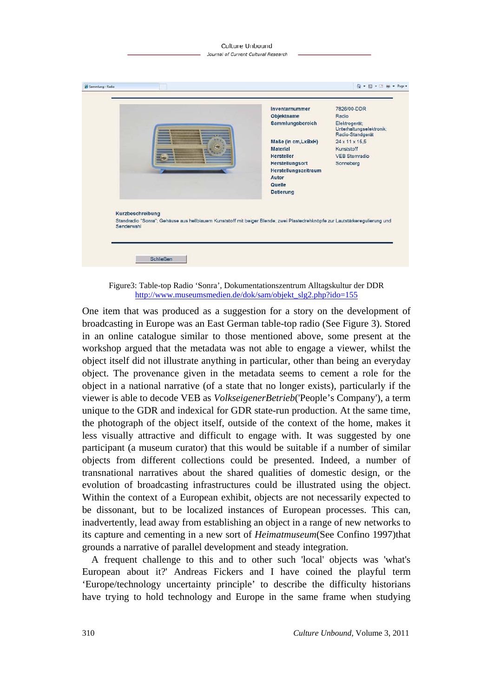#### Culture Unbound Journal of Current Cultural Research



Figure3: Table-top Radio 'Sonra', Dokumentationszentrum Alltagskultur der DDR http://www.museumsmedien.de/dok/sam/objekt\_slg2.php?ido=155

One item that was produced as a suggestion for a story on the development of broadcasting in Europe was an East German table-top radio (See Figure 3). Stored in an online catalogue similar to those mentioned above, some present at the workshop argued that the metadata was not able to engage a viewer, whilst the object itself did not illustrate anything in particular, other than being an everyday object. The provenance given in the metadata seems to cement a role for the object in a national narrative (of a state that no longer exists), particularly if the viewer is able to decode VEB as *VolkseigenerBetrieb*('People's Company'), a term unique to the GDR and indexical for GDR state-run production. At the same time, the photograph of the object itself, outside of the context of the home, makes it less visually attractive and difficult to engage with. It was suggested by one participant (a museum curator) that this would be suitable if a number of similar objects from different collections could be presented. Indeed, a number of transnational narratives about the shared qualities of domestic design, or the evolution of broadcasting infrastructures could be illustrated using the object. Within the context of a European exhibit, objects are not necessarily expected to be dissonant, but to be localized instances of European processes. This can, inadvertently, lead away from establishing an object in a range of new networks to its capture and cementing in a new sort of *Heimatmuseum*(See Confino 1997)that grounds a narrative of parallel development and steady integration.

A frequent challenge to this and to other such 'local' objects was 'what's European about it?' Andreas Fickers and I have coined the playful term 'Europe/technology uncertainty principle' to describe the difficulty historians have trying to hold technology and Europe in the same frame when studying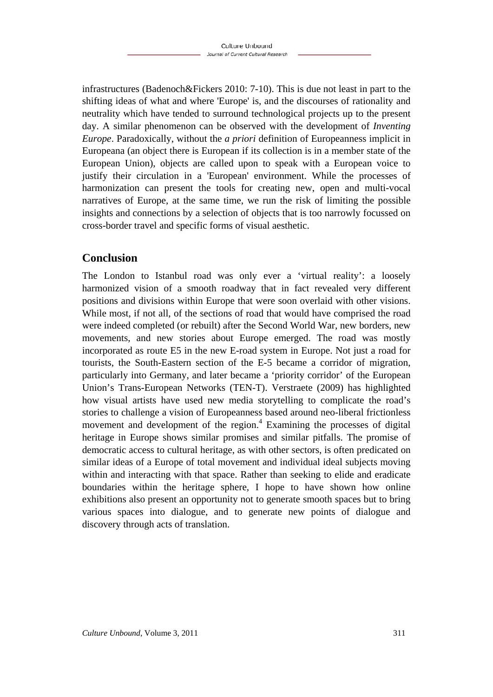infrastructures (Badenoch&Fickers 2010: 7-10). This is due not least in part to the shifting ideas of what and where 'Europe' is, and the discourses of rationality and neutrality which have tended to surround technological projects up to the present day. A similar phenomenon can be observed with the development of *Inventing Europe*. Paradoxically, without the *a priori* definition of Europeanness implicit in Europeana (an object there is European if its collection is in a member state of the European Union), objects are called upon to speak with a European voice to justify their circulation in a 'European' environment. While the processes of harmonization can present the tools for creating new, open and multi-vocal narratives of Europe, at the same time, we run the risk of limiting the possible insights and connections by a selection of objects that is too narrowly focussed on cross-border travel and specific forms of visual aesthetic.

# **Conclusion**

The London to Istanbul road was only ever a 'virtual reality': a loosely harmonized vision of a smooth roadway that in fact revealed very different positions and divisions within Europe that were soon overlaid with other visions. While most, if not all, of the sections of road that would have comprised the road were indeed completed (or rebuilt) after the Second World War, new borders, new movements, and new stories about Europe emerged. The road was mostly incorporated as route E5 in the new E-road system in Europe. Not just a road for tourists, the South-Eastern section of the E-5 became a corridor of migration, particularly into Germany, and later became a 'priority corridor' of the European Union's Trans-European Networks (TEN-T). Verstraete (2009) has highlighted how visual artists have used new media storytelling to complicate the road's stories to challenge a vision of Europeanness based around neo-liberal frictionless movement and development of the region. $4$  Examining the processes of digital heritage in Europe shows similar promises and similar pitfalls. The promise of democratic access to cultural heritage, as with other sectors, is often predicated on similar ideas of a Europe of total movement and individual ideal subjects moving within and interacting with that space. Rather than seeking to elide and eradicate boundaries within the heritage sphere, I hope to have shown how online exhibitions also present an opportunity not to generate smooth spaces but to bring various spaces into dialogue, and to generate new points of dialogue and discovery through acts of translation.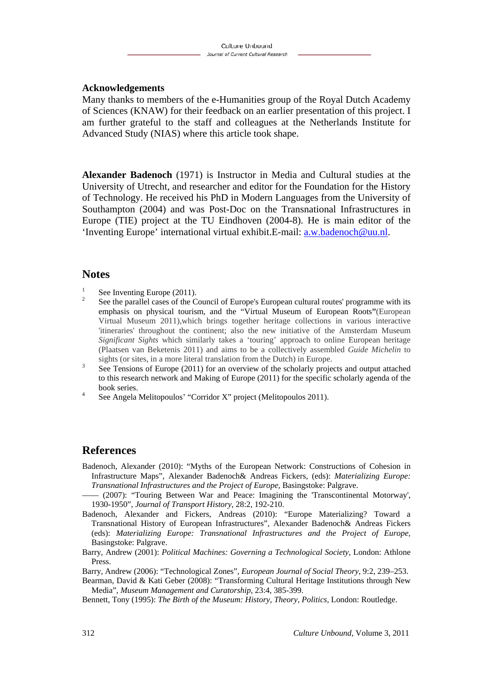### **Acknowledgements**

Many thanks to members of the e-Humanities group of the Royal Dutch Academy of Sciences (KNAW) for their feedback on an earlier presentation of this project. I am further grateful to the staff and colleagues at the Netherlands Institute for Advanced Study (NIAS) where this article took shape.

**Alexander Badenoch** (1971) is Instructor in Media and Cultural studies at the University of Utrecht, and researcher and editor for the Foundation for the History of Technology. He received his PhD in Modern Languages from the University of Southampton (2004) and was Post-Doc on the Transnational Infrastructures in Europe (TIE) project at the TU Eindhoven (2004-8). He is main editor of the 'Inventing Europe' international virtual exhibit.E-mail: a.w.badenoch@uu.nl.

### **Notes**

- 1 See Inventing Europe (2011).
- 2 See the parallel cases of the Council of Europe's European cultural routes' programme with its emphasis on physical tourism, and the "Virtual Museum of European Roots**"**(European Virtual Museum 2011),which brings together heritage collections in various interactive 'itineraries' throughout the continent; also the new initiative of the Amsterdam Museum *Significant Sights* which similarly takes a 'touring' approach to online European heritage (Plaatsen van Beketenis 2011) and aims to be a collectively assembled *Guide Michelin* to sights (or sites, in a more literal translation from the Dutch) in Europe.
- See Tensions of Europe (2011) for an overview of the scholarly projects and output attached to this research network and Making of Europe (2011) for the specific scholarly agenda of the book series.
- See Angela Melitopoulos' "Corridor X" project (Melitopoulos 2011).

### **References**

Badenoch, Alexander (2010): "Myths of the European Network: Constructions of Cohesion in Infrastructure Maps", Alexander Badenoch& Andreas Fickers, (eds): *Materializing Europe: Transnational Infrastructures and the Project of Europe,* Basingstoke: Palgrave.

 $(2007)$ : "Touring Between War and Peace: Imagining the 'Transcontinental Motorway', 1930-1950", *Journal of Transport History*, 28:2, 192-210.

- Badenoch, Alexander and Fickers, Andreas (2010): "Europe Materializing? Toward a Transnational History of European Infrastructures", Alexander Badenoch& Andreas Fickers (eds): *Materializing Europe: Transnational Infrastructures and the Project of Europe,* Basingstoke: Palgrave.
- Barry, Andrew (2001): *Political Machines: Governing a Technological Society,* London: Athlone **Press**.

Barry, Andrew (2006): "Technological Zones", *European Journal of Social Theory*, 9:2, 239–253.

Bearman, David & Kati Geber (2008): "Transforming Cultural Heritage Institutions through New Media", *Museum Management and Curatorship*, 23:4, 385-399.

Bennett, Tony (1995): *The Birth of the Museum: History, Theory, Politics,* London: Routledge.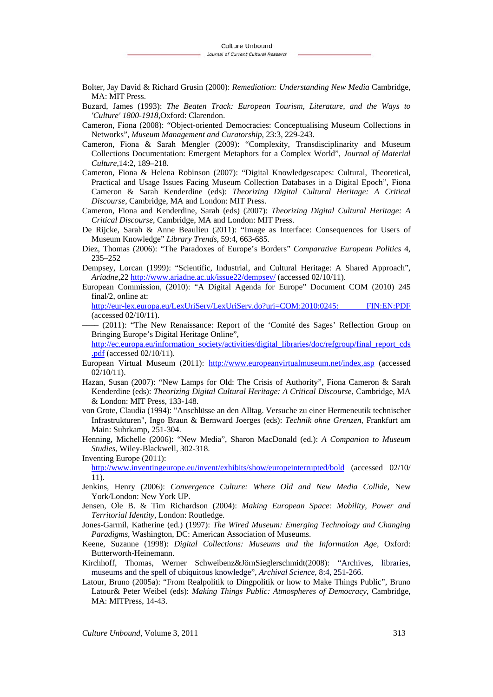- Bolter, Jay David & Richard Grusin (2000): *Remediation: Understanding New Media* Cambridge, MA: MIT Press.
- Buzard, James (1993): *The Beaten Track: European Tourism, Literature, and the Ways to 'Culture' 1800-1918*,Oxford: Clarendon.
- Cameron, Fiona (2008): "Object-oriented Democracies: Conceptualising Museum Collections in Networks", *Museum Management and Curatorship*, 23:3, 229-243.
- Cameron, Fiona & Sarah Mengler (2009): "Complexity, Transdisciplinarity and Museum Collections Documentation: Emergent Metaphors for a Complex World", *Journal of Material Culture*,14:2, 189–218.
- Cameron, Fiona & Helena Robinson (2007): "Digital Knowledgescapes: Cultural, Theoretical, Practical and Usage Issues Facing Museum Collection Databases in a Digital Epoch", Fiona Cameron & Sarah Kenderdine (eds): *Theorizing Digital Cultural Heritage: A Critical Discourse*, Cambridge, MA and London: MIT Press.
- Cameron, Fiona and Kenderdine, Sarah (eds) (2007): *Theorizing Digital Cultural Heritage: A Critical Discourse*, Cambridge, MA and London: MIT Press.
- De Rijcke, Sarah & Anne Beaulieu (2011): "Image as Interface: Consequences for Users of Museum Knowledge" *Library Trends*, 59:4, 663-685.
- Diez, Thomas (2006): "The Paradoxes of Europe's Borders" *Comparative European Politics* 4, 235–252
- Dempsey, Lorcan (1999): "Scientific, Industrial, and Cultural Heritage: A Shared Approach", *Ariadne*,22 http://www.ariadne.ac.uk/issue22/dempsey/ (accessed 02/10/11).
- European Commission, (2010): "A Digital Agenda for Europe" Document COM (2010) 245 final/2, online at:

http://eur-lex.europa.eu/LexUriServ/LexUriServ.do?uri=COM:2010:0245: FIN:EN:PDF (accessed 02/10/11).

(2011): "The New Renaissance: Report of the 'Comité des Sages' Reflection Group on Bringing Europe's Digital Heritage Online",

http://ec.europa.eu/information\_society/activities/digital\_libraries/doc/refgroup/final\_report\_cds .pdf (accessed 02/10/11).

- European Virtual Museum (2011): http://www.europeanvirtualmuseum.net/index.asp (accessed 02/10/11).
- Hazan, Susan (2007): "New Lamps for Old: The Crisis of Authority", Fiona Cameron & Sarah Kenderdine (eds): *Theorizing Digital Cultural Heritage: A Critical Discourse*, Cambridge, MA & London: MIT Press, 133-148.
- von Grote, Claudia (1994): "Anschlüsse an den Alltag. Versuche zu einer Hermeneutik technischer Infrastrukturen", Ingo Braun & Bernward Joerges (eds): *Technik ohne Grenzen*, Frankfurt am Main: Suhrkamp, 251-304.
- Henning, Michelle (2006): "New Media", Sharon MacDonald (ed.): *A Companion to Museum Studies,* Wiley-Blackwell, 302-318.

#### Inventing Europe (2011):

http://www.inventingeurope.eu/invent/exhibits/show/europeinterrupted/bold (accessed 02/10/ 11).

- Jenkins, Henry (2006): *Convergence Culture: Where Old and New Media Collide*, New York/London: New York UP.
- Jensen, Ole B. & Tim Richardson (2004): *Making European Space: Mobility, Power and Territorial Identity,* London: Routledge.
- Jones-Garmil, Katherine (ed.) (1997): *The Wired Museum: Emerging Technology and Changing Paradigms*, Washington, DC: American Association of Museums.
- Keene, Suzanne (1998): *Digital Collections: Museums and the Information Age,* Oxford: Butterworth-Heinemann.
- Kirchhoff, Thomas, Werner Schweibenz&JörnSieglerschmidt(2008): "Archives, libraries, museums and the spell of ubiquitous knowledge", *Archival Science*, 8:4, 251-266.
- Latour, Bruno (2005a): "From Realpolitik to Dingpolitik or how to Make Things Public", Bruno Latour& Peter Weibel (eds): *Making Things Public: Atmospheres of Democracy*, Cambridge, MA: MITPress, 14-43.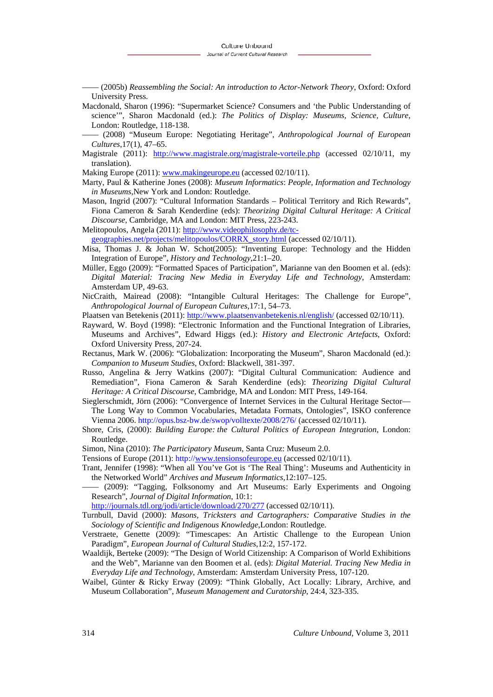–––– (2005b) *Reassembling the Social: An introduction to Actor-Network Theory*, Oxford: Oxford University Press.

- Macdonald, Sharon (1996): "Supermarket Science? Consumers and 'the Public Understanding of science'", Sharon Macdonald (ed.): *The Politics of Display: Museums, Science, Culture*, London: Routledge, 118-138.
- –––– (2008) "Museum Europe: Negotiating Heritage", *Anthropological Journal of European Cultures*,17(1), 47–65.
- Magistrale (2011): http://www.magistrale.org/magistrale-vorteile.php (accessed 02/10/11, my translation).

Making Europe (2011): www.makingeurope.eu (accessed 02/10/11).

- Marty, Paul & Katherine Jones (2008): *Museum Informatics*: *People, Information and Technology in Museums*,New York and London: Routledge.
- Mason, Ingrid (2007): "Cultural Information Standards Political Territory and Rich Rewards", Fiona Cameron & Sarah Kenderdine (eds): *Theorizing Digital Cultural Heritage: A Critical Discourse*, Cambridge, MA and London: MIT Press, 223-243.

Melitopoulos, Angela (2011): http://www.videophilosophy.de/tc-

geographies.net/projects/melitopoulos/CORRX\_story.html (accessed 02/10/11).

- Misa, Thomas J. & Johan W. Schot(2005): "Inventing Europe: Technology and the Hidden Integration of Europe", *History and Technology*,21:1–20.
- Müller, Eggo (2009): "Formatted Spaces of Participation", Marianne van den Boomen et al. (eds): *Digital Material: Tracing New Media in Everyday Life and Technology*, Amsterdam: Amsterdam UP, 49-63.
- NicCraith, Mairead (2008): "Intangible Cultural Heritages: The Challenge for Europe", *Anthropological Journal of European Cultures*,17:1, 54–73.
- Plaatsen van Betekenis (2011): http://www.plaatsenvanbetekenis.nl/english/ (accessed 02/10/11).
- Rayward, W. Boyd (1998): "Electronic Information and the Functional Integration of Libraries, Museums and Archives", Edward Higgs (ed.): *History and Electronic Artefacts*, Oxford: Oxford University Press, 207-24.
- Rectanus, Mark W. (2006): "Globalization: Incorporating the Museum", Sharon Macdonald (ed.): *Companion to Museum Studies*, Oxford: Blackwell, 381-397.
- Russo, Angelina & Jerry Watkins (2007): "Digital Cultural Communication: Audience and Remediation", Fiona Cameron & Sarah Kenderdine (eds): *Theorizing Digital Cultural Heritage: A Critical Discourse*, Cambridge, MA and London: MIT Press, 149-164.
- Sieglerschmidt, Jörn (2006): "Convergence of Internet Services in the Cultural Heritage Sector–– The Long Way to Common Vocabularies, Metadata Formats, Ontologies", ISKO conference Vienna 2006. http://opus.bsz-bw.de/swop/volltexte/2008/276/ (accessed 02/10/11).
- Shore, Cris, (2000): *Building Europe: the Cultural Politics of European Integration*, London: Routledge.
- Simon, Nina (2010): *The Participatory Museum*, Santa Cruz: Museum 2.0.
- Tensions of Europe (2011): http://www.tensionsofeurope.eu (accessed 02/10/11).
- Trant, Jennifer (1998): "When all You've Got is 'The Real Thing': Museums and Authenticity in the Networked World" *Archives and Museum Informatics*,12:107–125.
- –––– (2009): "Tagging, Folksonomy and Art Museums: Early Experiments and Ongoing Research", *Journal of Digital Information*, 10:1:

http://journals.tdl.org/jodi/article/download/270/277 (accessed 02/10/11).

Turnbull, David (2000): *Masons, Tricksters and Cartographers: Comparative Studies in the Sociology of Scientific and Indigenous Knowledge*,London: Routledge.

- Verstraete, Genette (2009): "Timescapes: An Artistic Challenge to the European Union Paradigm", *European Journal of Cultural Studies*,12:2, 157-172.
- Waaldijk, Berteke (2009): "The Design of World Citizenship: A Comparison of World Exhibitions and the Web", Marianne van den Boomen et al. (eds): *Digital Material. Tracing New Media in Everyday Life and Technology*, Amsterdam: Amsterdam University Press, 107-120.
- Waibel, Günter & Ricky Erway (2009): "Think Globally, Act Locally: Library, Archive, and Museum Collaboration", *Museum Management and Curatorship*, 24:4, 323-335.